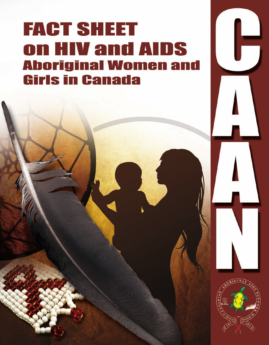# **FACT SHEET** on HIV and AIDS **Aboriginal Women and Girls in Canada**

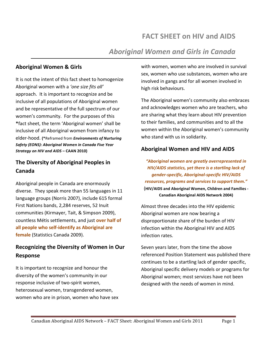# **FACT SHEET on HIV and AIDS**

# **Aboriginal Women and Girls in Canada**

#### **Aboriginal Women & Girls**

It is not the intent of this fact sheet to homogenize Aboriginal women with a 'one size fits all' approach. It is important to recognize and be inclusive of all populations of Aboriginal women and be representative of the full spectrum of our women's community. For the purposes of this \*fact sheet, the term 'Aboriginal women' shall be inclusive of all Aboriginal women from infancy to elder-hood. (\*Reframed from Environments of Nurturing Safety (EONS): Aboriginal Women in Canada Five Year Strategy on HIV and AIDS - CAAN 2010)

### The Diversity of Aboriginal Peoples in Canada

Aboriginal people in Canada are enormously diverse. They speak more than 55 languages in 11 language groups (Norris 2007), include 615 formal First Nations bands, 2,284 reserves, 52 Inuit communities (Kirmayer, Tait, & Simpson 2009), countless Métis settlements, and just over half of all people who self-identify as Aboriginal are female (Statistics Canada 2009).

# **Recognizing the Diversity of Women in Our** Response

It is important to recognize and honour the diversity of the women's community in our response inclusive of two-spirit women, heterosexual women, transgendered women, women who are in prison, women who have sex with women, women who are involved in survival sex, women who use substances, women who are involved in gangs and for all women involved in high risk behaviours.

The Aboriginal women's community also embraces and acknowledges women who are teachers, who are sharing what they learn about HIV prevention to their families, and communities and to all the women within the Aboriginal women's community who stand with us in solidarity.

#### **Aboriginal Women and HIV and AIDS**

"Aboriginal women are greatly overrepresented in HIV/AIDS statistics, yet there is a startling lack of gender-specific, Aboriginal-specific HIV/AIDS resources, programs and services to support them." (HIV/AIDS and Aboriginal Women, Children and Families -**Canadian Aboriginal AIDS Network 2004)** 

Almost three decades into the HIV epidemic Aboriginal women are now bearing a disproportionate share of the burden of HIV infection within the Aboriginal HIV and AIDS infection rates.

Seven years later, from the time the above referenced Position Statement was published there continues to be a startling lack of gender specific, Aboriginal specific delivery models or programs for Aboriginal women; most services have not been designed with the needs of women in mind.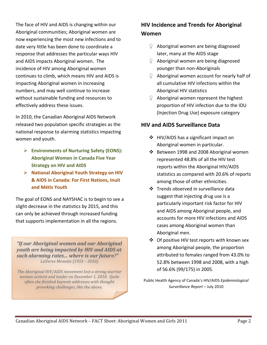The face of HIV and AIDS is changing within our Aboriginal communities; Aboriginal women are now experiencing the most new infections and to date very little has been done to coordinate a response that addresses the particular ways HIV and AIDS impacts Aboriginal women. The incidence of HIV among Aboriginal women continues to climb, which means HIV and AIDS is impacting Aboriginal women in increasing numbers, and may well continue to increase without sustainable funding and resources to effectively address these issues.

In 2010, the Canadian Aboriginal AIDS Network released two population specific strategies as the national response to alarming statistics impacting women and youth.

- **Environments of Nurturing Safety (EONS): Aboriginal Women in Canada Five Year Strategy on HIV and AIDS**
- **EXECUTE: National Aboriginal Youth Strategy on HIV & AIDS in Canada: For First Nations, Inuit and%Métis%Youth**

The goal of EONS and NAYSHAC is to begin to see a slight decrease in the statistics by 2015, and this can only be achieved through increased funding that supports implementation in all the regions.

*"If\$our\$Aboriginal\$women\$and\$our\$Aboriginal\$ youth are being impacted by HIV and AIDS at such alarming rates... where is our future?" LaVerne'Monette (1953 – 2010)*

The Aboriginal HIV/AIDS movement lost a strong warrior *woman activist and leader on December 1, 2010. Quite often'she'finished'keynote'addresses'with'thought' provoking'challenges,'like'the'above.*

## **HIV Incidence and Trends for Aboriginal Women**

- $\mathcal{Q}$  Aboriginal women are being diagnosed later, many at the AIDS stage
- $\mathcal{Q}$  Aboriginal women are being diagnosed younger than non-Aboriginals
- $\Omega$  Aboriginal women account for nearly half of all cumulative HIV infections within the Aboriginal HIV statistics
- $\Omega$  Aboriginal women represent the highest proportion of HIV infection due to the IDU (Injection Drug Use) exposure category

#### **HIV and AIDS Surveillance Data**

- $\div$  HIV/AIDS has a significant impact on Aboriginal women in particular.
- $\cdot$  Between 1998 and 2008 Aboriginal women represented 48.8% of all the HIV test reports within the Aboriginal HIV/AIDS statistics as compared with 20.6% of reports among those of other ethnicities.
- ❖ Trends observed in surveillance data suggest that injecting drug use is a particularly important risk factor for HIV and AIDS among Aboriginal people, and accounts for more HIV infections and AIDS cases among Aboriginal women than Aboriginal men.
- $\div$  Of positive HIV test reports with known sex among Aboriginal people, the proportion attributed to females ranged from 43.0% to 52.8% between 1998 and 2008, with a high of 56.6% (99/175) in 2005.

Public!Health!Agency!of!Canada's!HIV/AIDS!*Epidemiological%* Surveillance Report – July 2010